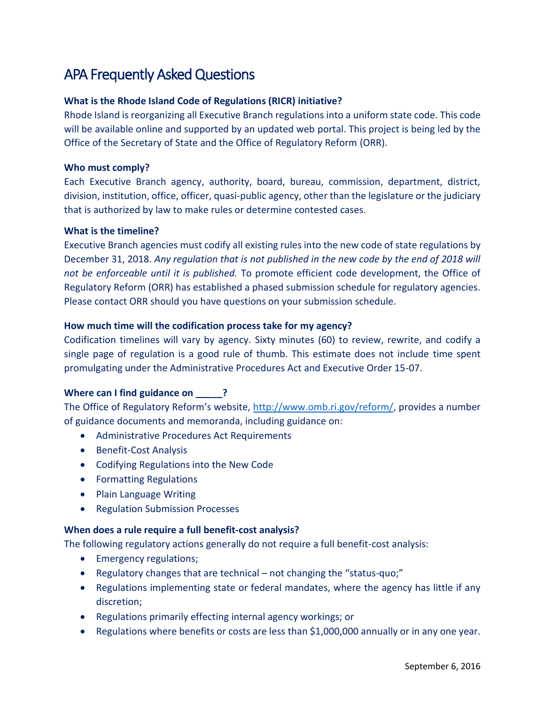# APA Frequently Asked Questions

# **What is the Rhode Island Code of Regulations (RICR) initiative?**

Rhode Island is reorganizing all Executive Branch regulations into a uniform state code. This code will be available online and supported by an updated web portal. This project is being led by the Office of the Secretary of State and the Office of Regulatory Reform (ORR).

## **Who must comply?**

Each Executive Branch agency, authority, board, bureau, commission, department, district, division, institution, office, officer, quasi-public agency, other than the legislature or the judiciary that is authorized by law to make rules or determine contested cases.

#### **What is the timeline?**

Executive Branch agencies must codify all existing rules into the new code of state regulations by December 31, 2018. *Any regulation that is not published in the new code by the end of 2018 will not be enforceable until it is published.* To promote efficient code development, the Office of Regulatory Reform (ORR) has established a phased submission schedule for regulatory agencies. Please contact ORR should you have questions on your submission schedule.

## **How much time will the codification process take for my agency?**

Codification timelines will vary by agency. Sixty minutes (60) to review, rewrite, and codify a single page of regulation is a good rule of thumb. This estimate does not include time spent promulgating under the Administrative Procedures Act and Executive Order 15-07.

# **Where can I find guidance on 22 PM**

The Office of Regulatory Reform's website, [http://www.omb.ri.gov/reform/,](http://www.omb.ri.gov/reform/) provides a number of guidance documents and memoranda, including guidance on:

- Administrative Procedures Act Requirements
- **•** Benefit-Cost Analysis
- Codifying Regulations into the New Code
- **•** Formatting Regulations
- Plain Language Writing
- Regulation Submission Processes

#### **When does a rule require a full benefit-cost analysis?**

The following regulatory actions generally do not require a full benefit-cost analysis:

- **•** Emergency regulations;
- Regulatory changes that are technical not changing the "status-quo;"
- Regulations implementing state or federal mandates, where the agency has little if any discretion;
- Regulations primarily effecting internal agency workings; or
- Regulations where benefits or costs are less than \$1,000,000 annually or in any one year.